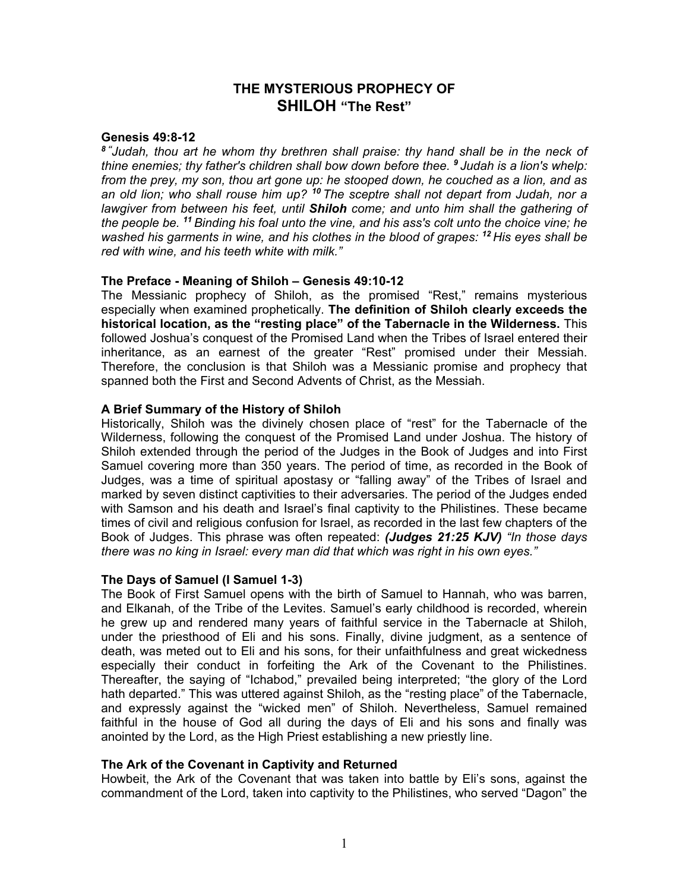# **THE MYSTERIOUS PROPHECY OF SHILOH "The Rest"**

### **Genesis 49:8-12**

*8 "Judah, thou art he whom thy brethren shall praise: thy hand shall be in the neck of thine enemies; thy father's children shall bow down before thee. <sup>9</sup>Judah is a lion's whelp: from the prey, my son, thou art gone up: he stooped down, he couched as a lion, and as an old lion; who shall rouse him up? <sup>10</sup> The sceptre shall not depart from Judah, nor a lawgiver from between his feet, until Shiloh come; and unto him shall the gathering of the people be. <sup>11</sup> Binding his foal unto the vine, and his ass's colt unto the choice vine; he washed his garments in wine, and his clothes in the blood of grapes: <sup>12</sup> His eyes shall be red with wine, and his teeth white with milk."* 

## **The Preface - Meaning of Shiloh – Genesis 49:10-12**

The Messianic prophecy of Shiloh, as the promised "Rest," remains mysterious especially when examined prophetically. **The definition of Shiloh clearly exceeds the historical location, as the "resting place" of the Tabernacle in the Wilderness.** This followed Joshua's conquest of the Promised Land when the Tribes of Israel entered their inheritance, as an earnest of the greater "Rest" promised under their Messiah. Therefore, the conclusion is that Shiloh was a Messianic promise and prophecy that spanned both the First and Second Advents of Christ, as the Messiah.

## **A Brief Summary of the History of Shiloh**

Historically, Shiloh was the divinely chosen place of "rest" for the Tabernacle of the Wilderness, following the conquest of the Promised Land under Joshua. The history of Shiloh extended through the period of the Judges in the Book of Judges and into First Samuel covering more than 350 years. The period of time, as recorded in the Book of Judges, was a time of spiritual apostasy or "falling away" of the Tribes of Israel and marked by seven distinct captivities to their adversaries. The period of the Judges ended with Samson and his death and Israel's final captivity to the Philistines. These became times of civil and religious confusion for Israel, as recorded in the last few chapters of the Book of Judges. This phrase was often repeated: *(Judges 21:25 KJV) "In those days there was no king in Israel: every man did that which was right in his own eyes."*

#### **The Days of Samuel (I Samuel 1-3)**

The Book of First Samuel opens with the birth of Samuel to Hannah, who was barren, and Elkanah, of the Tribe of the Levites. Samuel's early childhood is recorded, wherein he grew up and rendered many years of faithful service in the Tabernacle at Shiloh, under the priesthood of Eli and his sons. Finally, divine judgment, as a sentence of death, was meted out to Eli and his sons, for their unfaithfulness and great wickedness especially their conduct in forfeiting the Ark of the Covenant to the Philistines. Thereafter, the saying of "Ichabod," prevailed being interpreted; "the glory of the Lord hath departed." This was uttered against Shiloh, as the "resting place" of the Tabernacle, and expressly against the "wicked men" of Shiloh. Nevertheless, Samuel remained faithful in the house of God all during the days of Eli and his sons and finally was anointed by the Lord, as the High Priest establishing a new priestly line.

# **The Ark of the Covenant in Captivity and Returned**

Howbeit, the Ark of the Covenant that was taken into battle by Eli's sons, against the commandment of the Lord, taken into captivity to the Philistines, who served "Dagon" the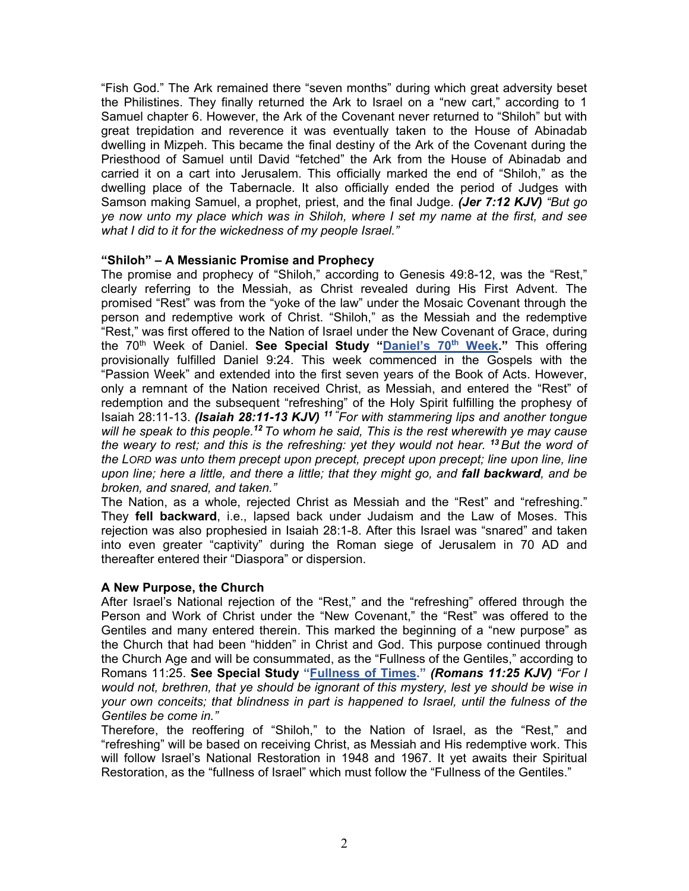"Fish God." The Ark remained there "seven months" during which great adversity beset the Philistines. They finally returned the Ark to Israel on a "new cart," according to 1 Samuel chapter 6. However, the Ark of the Covenant never returned to "Shiloh" but with great trepidation and reverence it was eventually taken to the House of Abinadab dwelling in Mizpeh. This became the final destiny of the Ark of the Covenant during the Priesthood of Samuel until David "fetched" the Ark from the House of Abinadab and carried it on a cart into Jerusalem. This officially marked the end of "Shiloh," as the dwelling place of the Tabernacle. It also officially ended the period of Judges with Samson making Samuel, a prophet, priest, and the final Judge. *(Jer 7:12 KJV) "But go ye now unto my place which was in Shiloh, where I set my name at the first, and see what I did to it for the wickedness of my people Israel."* 

## **"Shiloh" – A Messianic Promise and Prophecy**

The promise and prophecy of "Shiloh," according to Genesis 49:8-12, was the "Rest," clearly referring to the Messiah, as Christ revealed during His First Advent. The promised "Rest" was from the "yoke of the law" under the Mosaic Covenant through the person and redemptive work of Christ. "Shiloh," as the Messiah and the redemptive "Rest," was first offered to the Nation of Israel under the New Covenant of Grace, during the 70th Week of Daniel. **See Special Study ["Daniel's 70](https://graceassemblysandiego.info/wp-content/uploads/Daniels70thWeekopt.pdf)th Week."** This offering provisionally fulfilled Daniel 9:24. This week commenced in the Gospels with the "Passion Week" and extended into the first seven years of the Book of Acts. However, only a remnant of the Nation received Christ, as Messiah, and entered the "Rest" of redemption and the subsequent "refreshing" of the Holy Spirit fulfilling the prophesy of Isaiah 28:11-13. *(Isaiah 28:11-13 KJV) 11 "For with stammering lips and another tongue will he speak to this people.<sup>12</sup> To whom he said, This is the rest wherewith ye may cause the weary to rest; and this is the refreshing: yet they would not hear. <sup>13</sup> But the word of the LORD was unto them precept upon precept, precept upon precept; line upon line, line upon line; here a little, and there a little; that they might go, and fall backward, and be broken, and snared, and taken."* 

The Nation, as a whole, rejected Christ as Messiah and the "Rest" and "refreshing." They **fell backward**, i.e., lapsed back under Judaism and the Law of Moses. This rejection was also prophesied in Isaiah 28:1-8. After this Israel was "snared" and taken into even greater "captivity" during the Roman siege of Jerusalem in 70 AD and thereafter entered their "Diaspora" or dispersion.

# **A New Purpose, the Church**

After Israel's National rejection of the "Rest," and the "refreshing" offered through the Person and Work of Christ under the "New Covenant," the "Rest" was offered to the Gentiles and many entered therein. This marked the beginning of a "new purpose" as the Church that had been "hidden" in Christ and God. This purpose continued through the Church Age and will be consummated, as the "Fullness of the Gentiles," according to Romans 11:25. **See Special Study ["Fullness of Times."](https://graceassemblysandiego.info/wp-content/uploads/FullnessofTimesopt.pdf)** *(Romans 11:25 KJV) "For I would not, brethren, that ye should be ignorant of this mystery, lest ye should be wise in your own conceits; that blindness in part is happened to Israel, until the fulness of the Gentiles be come in."*

Therefore, the reoffering of "Shiloh," to the Nation of Israel, as the "Rest," and "refreshing" will be based on receiving Christ, as Messiah and His redemptive work. This will follow Israel's National Restoration in 1948 and 1967. It yet awaits their Spiritual Restoration, as the "fullness of Israel" which must follow the "Fullness of the Gentiles."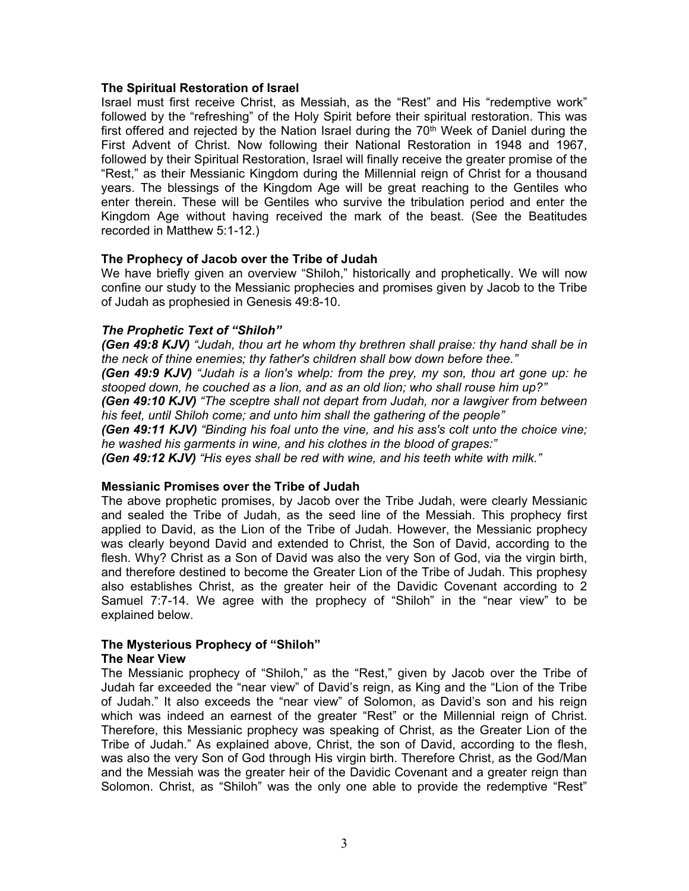### **The Spiritual Restoration of Israel**

Israel must first receive Christ, as Messiah, as the "Rest" and His "redemptive work" followed by the "refreshing" of the Holy Spirit before their spiritual restoration. This was first offered and rejected by the Nation Israel during the  $70<sup>th</sup>$  Week of Daniel during the First Advent of Christ. Now following their National Restoration in 1948 and 1967, followed by their Spiritual Restoration, Israel will finally receive the greater promise of the "Rest," as their Messianic Kingdom during the Millennial reign of Christ for a thousand years. The blessings of the Kingdom Age will be great reaching to the Gentiles who enter therein. These will be Gentiles who survive the tribulation period and enter the Kingdom Age without having received the mark of the beast. (See the Beatitudes recorded in Matthew 5:1-12.)

## **The Prophecy of Jacob over the Tribe of Judah**

We have briefly given an overview "Shiloh," historically and prophetically. We will now confine our study to the Messianic prophecies and promises given by Jacob to the Tribe of Judah as prophesied in Genesis 49:8-10.

## *The Prophetic Text of "Shiloh"*

*(Gen 49:8 KJV) "Judah, thou art he whom thy brethren shall praise: thy hand shall be in the neck of thine enemies; thy father's children shall bow down before thee."* 

*(Gen 49:9 KJV) "Judah is a lion's whelp: from the prey, my son, thou art gone up: he stooped down, he couched as a lion, and as an old lion; who shall rouse him up?"* 

*(Gen 49:10 KJV) "The sceptre shall not depart from Judah, nor a lawgiver from between his feet, until Shiloh come; and unto him shall the gathering of the people"* 

*(Gen 49:11 KJV) "Binding his foal unto the vine, and his ass's colt unto the choice vine; he washed his garments in wine, and his clothes in the blood of grapes:"* 

*(Gen 49:12 KJV) "His eyes shall be red with wine, and his teeth white with milk."* 

#### **Messianic Promises over the Tribe of Judah**

The above prophetic promises, by Jacob over the Tribe Judah, were clearly Messianic and sealed the Tribe of Judah, as the seed line of the Messiah. This prophecy first applied to David, as the Lion of the Tribe of Judah. However, the Messianic prophecy was clearly beyond David and extended to Christ, the Son of David, according to the flesh. Why? Christ as a Son of David was also the very Son of God, via the virgin birth, and therefore destined to become the Greater Lion of the Tribe of Judah. This prophesy also establishes Christ, as the greater heir of the Davidic Covenant according to 2 Samuel 7:7-14. We agree with the prophecy of "Shiloh" in the "near view" to be explained below.

# **The Mysterious Prophecy of "Shiloh"**

#### **The Near View**

The Messianic prophecy of "Shiloh," as the "Rest," given by Jacob over the Tribe of Judah far exceeded the "near view" of David's reign, as King and the "Lion of the Tribe of Judah." It also exceeds the "near view" of Solomon, as David's son and his reign which was indeed an earnest of the greater "Rest" or the Millennial reign of Christ. Therefore, this Messianic prophecy was speaking of Christ, as the Greater Lion of the Tribe of Judah." As explained above, Christ, the son of David, according to the flesh, was also the very Son of God through His virgin birth. Therefore Christ, as the God/Man and the Messiah was the greater heir of the Davidic Covenant and a greater reign than Solomon. Christ, as "Shiloh" was the only one able to provide the redemptive "Rest"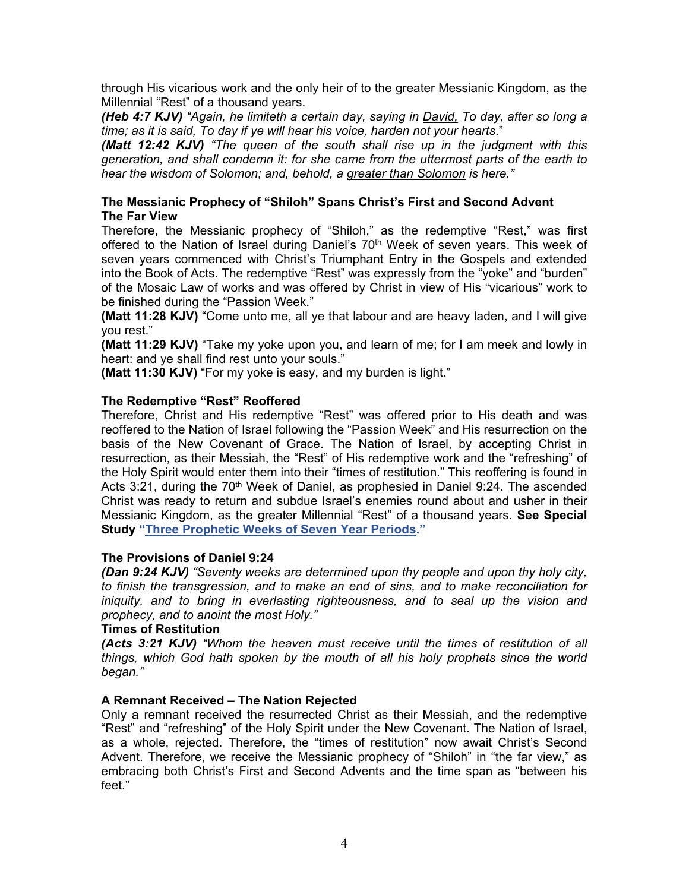through His vicarious work and the only heir of to the greater Messianic Kingdom, as the Millennial "Rest" of a thousand years.

*(Heb 4:7 KJV) "Again, he limiteth a certain day, saying in David, To day, after so long a time; as it is said, To day if ye will hear his voice, harden not your hearts*."

*(Matt 12:42 KJV) "The queen of the south shall rise up in the judgment with this generation, and shall condemn it: for she came from the uttermost parts of the earth to hear the wisdom of Solomon; and, behold, a greater than Solomon is here."* 

## **The Messianic Prophecy of "Shiloh" Spans Christ's First and Second Advent The Far View**

Therefore, the Messianic prophecy of "Shiloh," as the redemptive "Rest," was first offered to the Nation of Israel during Daniel's  $70<sup>th</sup>$  Week of seven years. This week of seven years commenced with Christ's Triumphant Entry in the Gospels and extended into the Book of Acts. The redemptive "Rest" was expressly from the "yoke" and "burden" of the Mosaic Law of works and was offered by Christ in view of His "vicarious" work to be finished during the "Passion Week."

**(Matt 11:28 KJV)** "Come unto me, all ye that labour and are heavy laden, and I will give you rest."

**(Matt 11:29 KJV)** "Take my yoke upon you, and learn of me; for I am meek and lowly in heart: and ye shall find rest unto your souls."

**(Matt 11:30 KJV)** "For my yoke is easy, and my burden is light."

## **The Redemptive "Rest" Reoffered**

Therefore, Christ and His redemptive "Rest" was offered prior to His death and was reoffered to the Nation of Israel following the "Passion Week" and His resurrection on the basis of the New Covenant of Grace. The Nation of Israel, by accepting Christ in resurrection, as their Messiah, the "Rest" of His redemptive work and the "refreshing" of the Holy Spirit would enter them into their "times of restitution." This reoffering is found in Acts 3:21, during the  $70<sup>th</sup>$  Week of Daniel, as prophesied in Daniel 9:24. The ascended Christ was ready to return and subdue Israel's enemies round about and usher in their Messianic Kingdom, as the greater Millennial "Rest" of a thousand years. **See Special Study ["Three Prophetic Weeks of Seven Year Periods."](https://graceassemblysandiego.info/wp-content/uploads/ThreePropheticWeeksofSevenYearPeriods.pdf)**

#### **The Provisions of Daniel 9:24**

*(Dan 9:24 KJV) "Seventy weeks are determined upon thy people and upon thy holy city, to finish the transgression, and to make an end of sins, and to make reconciliation for iniquity, and to bring in everlasting righteousness, and to seal up the vision and prophecy, and to anoint the most Holy."* 

#### **Times of Restitution**

*(Acts 3:21 KJV) "Whom the heaven must receive until the times of restitution of all things, which God hath spoken by the mouth of all his holy prophets since the world began."* 

# **A Remnant Received – The Nation Rejected**

Only a remnant received the resurrected Christ as their Messiah, and the redemptive "Rest" and "refreshing" of the Holy Spirit under the New Covenant. The Nation of Israel, as a whole, rejected. Therefore, the "times of restitution" now await Christ's Second Advent. Therefore, we receive the Messianic prophecy of "Shiloh" in "the far view," as embracing both Christ's First and Second Advents and the time span as "between his feet."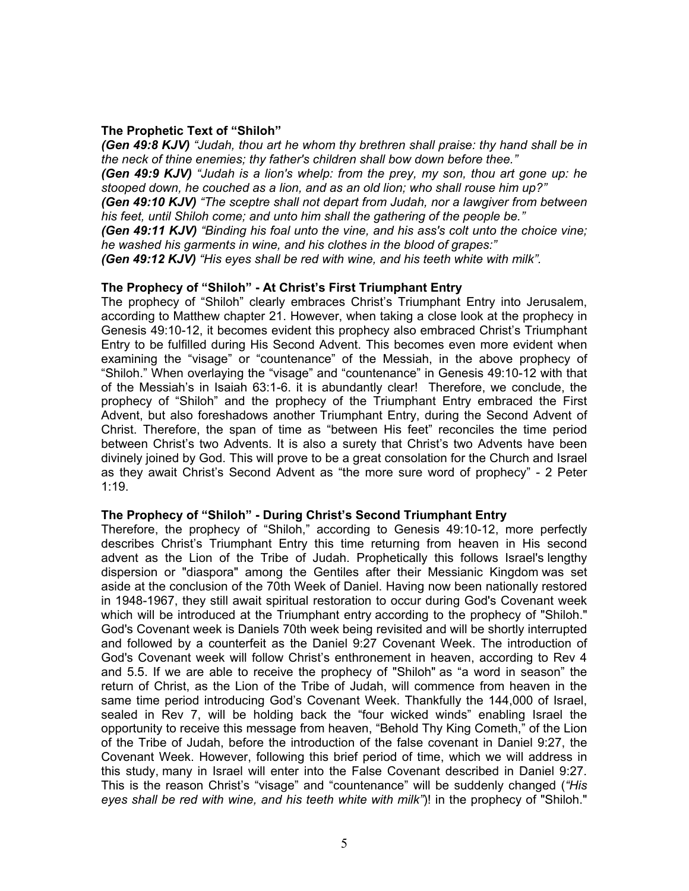### **The Prophetic Text of "Shiloh"**

*(Gen 49:8 KJV) "Judah, thou art he whom thy brethren shall praise: thy hand shall be in the neck of thine enemies; thy father's children shall bow down before thee."*

*(Gen 49:9 KJV) "Judah is a lion's whelp: from the prey, my son, thou art gone up: he stooped down, he couched as a lion, and as an old lion; who shall rouse him up?"*

*(Gen 49:10 KJV) "The sceptre shall not depart from Judah, nor a lawgiver from between his feet, until Shiloh come; and unto him shall the gathering of the people be."*

*(Gen 49:11 KJV) "Binding his foal unto the vine, and his ass's colt unto the choice vine; he washed his garments in wine, and his clothes in the blood of grapes:"*

*(Gen 49:12 KJV) "His eyes shall be red with wine, and his teeth white with milk".*

#### **The Prophecy of "Shiloh" - At Christ's First Triumphant Entry**

The prophecy of "Shiloh" clearly embraces Christ's Triumphant Entry into Jerusalem, according to Matthew chapter 21. However, when taking a close look at the prophecy in Genesis 49:10-12, it becomes evident this prophecy also embraced Christ's Triumphant Entry to be fulfilled during His Second Advent. This becomes even more evident when examining the "visage" or "countenance" of the Messiah, in the above prophecy of "Shiloh." When overlaying the "visage" and "countenance" in Genesis 49:10-12 with that of the Messiah's in Isaiah 63:1-6. it is abundantly clear! Therefore, we conclude, the prophecy of "Shiloh" and the prophecy of the Triumphant Entry embraced the First Advent, but also foreshadows another Triumphant Entry, during the Second Advent of Christ. Therefore, the span of time as "between His feet" reconciles the time period between Christ's two Advents. It is also a surety that Christ's two Advents have been divinely joined by God. This will prove to be a great consolation for the Church and Israel as they await Christ's Second Advent as "the more sure word of prophecy" - 2 Peter 1:19.

#### **The Prophecy of "Shiloh" - During Christ's Second Triumphant Entry**

Therefore, the prophecy of "Shiloh," according to Genesis 49:10-12, more perfectly describes Christ's Triumphant Entry this time returning from heaven in His second advent as the Lion of the Tribe of Judah. Prophetically this follows Israel's lengthy dispersion or "diaspora" among the Gentiles after their Messianic Kingdom was set aside at the conclusion of the 70th Week of Daniel. Having now been nationally restored in 1948-1967, they still await spiritual restoration to occur during God's Covenant week which will be introduced at the Triumphant entry according to the prophecy of "Shiloh." God's Covenant week is Daniels 70th week being revisited and will be shortly interrupted and followed by a counterfeit as the Daniel 9:27 Covenant Week. The introduction of God's Covenant week will follow Christ's enthronement in heaven, according to Rev 4 and 5.5. If we are able to receive the prophecy of "Shiloh" as "a word in season" the return of Christ, as the Lion of the Tribe of Judah, will commence from heaven in the same time period introducing God's Covenant Week. Thankfully the 144,000 of Israel, sealed in Rev 7, will be holding back the "four wicked winds" enabling Israel the opportunity to receive this message from heaven, "Behold Thy King Cometh," of the Lion of the Tribe of Judah, before the introduction of the false covenant in Daniel 9:27, the Covenant Week. However, following this brief period of time, which we will address in this study, many in Israel will enter into the False Covenant described in Daniel 9:27. This is the reason Christ's "visage" and "countenance" will be suddenly changed (*"His eyes shall be red with wine, and his teeth white with milk"*)! in the prophecy of "Shiloh."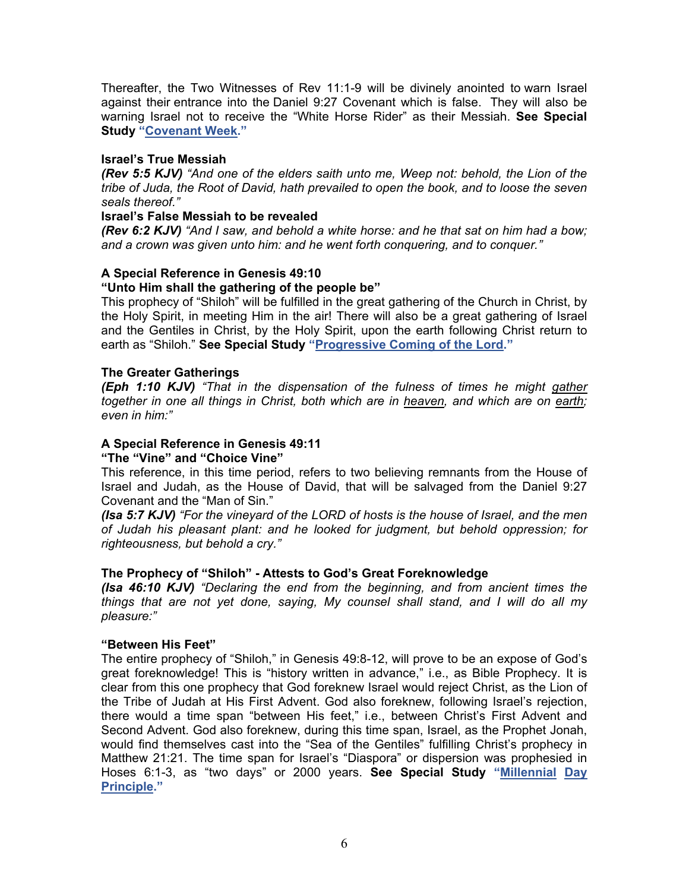Thereafter, the Two Witnesses of Rev 11:1-9 will be divinely anointed to warn Israel against their entrance into the Daniel 9:27 Covenant which is false. They will also be warning Israel not to receive the "White Horse Rider" as their Messiah. **See Special Study ["Covenant Week."](https://graceassemblysandiego.info/wp-content/uploads/CovenantWeekopt.pdf)**

## **Israel's True Messiah**

*(Rev 5:5 KJV) "And one of the elders saith unto me, Weep not: behold, the Lion of the tribe of Juda, the Root of David, hath prevailed to open the book, and to loose the seven seals thereof."* 

## **Israel's False Messiah to be revealed**

*(Rev 6:2 KJV) "And I saw, and behold a white horse: and he that sat on him had a bow; and a crown was given unto him: and he went forth conquering, and to conquer."* 

# **A Special Reference in Genesis 49:10**

## **"Unto Him shall the gathering of the people be"**

This prophecy of "Shiloh" will be fulfilled in the great gathering of the Church in Christ, by the Holy Spirit, in meeting Him in the air! There will also be a great gathering of Israel and the Gentiles in Christ, by the Holy Spirit, upon the earth following Christ return to earth as "Shiloh." **See Special Study ["Progressive Coming of the Lord."](https://graceassemblysandiego.info/wp-content/uploads/ProgressiveComingoftheLordopt.pdf)**

#### **The Greater Gatherings**

*(Eph 1:10 KJV) "That in the dispensation of the fulness of times he might gather together in one all things in Christ, both which are in heaven, and which are on earth; even in him:"* 

## **A Special Reference in Genesis 49:11**

#### **"The "Vine" and "Choice Vine"**

This reference, in this time period, refers to two believing remnants from the House of Israel and Judah, as the House of David, that will be salvaged from the Daniel 9:27 Covenant and the "Man of Sin."

*(Isa 5:7 KJV) "For the vineyard of the LORD of hosts is the house of Israel, and the men of Judah his pleasant plant: and he looked for judgment, but behold oppression; for righteousness, but behold a cry."* 

# **The Prophecy of "Shiloh" - Attests to God's Great Foreknowledge**

*(Isa 46:10 KJV) "Declaring the end from the beginning, and from ancient times the things that are not yet done, saying, My counsel shall stand, and I will do all my pleasure:"*

#### **"Between His Feet"**

The entire prophecy of "Shiloh," in Genesis 49:8-12, will prove to be an expose of God's great foreknowledge! This is "history written in advance," i.e., as Bible Prophecy. It is clear from this one prophecy that God foreknew Israel would reject Christ, as the Lion of the Tribe of Judah at His First Advent. God also foreknew, following Israel's rejection, there would a time span "between His feet," i.e., between Christ's First Advent and Second Advent. God also foreknew, during this time span, Israel, as the Prophet Jonah, would find themselves cast into the "Sea of the Gentiles" fulfilling Christ's prophecy in Matthew 21:21. The time span for Israel's "Diaspora" or dispersion was prophesied in Hoses 6:1-3, as "two days" or 2000 years. **See Special Study ["Millennial](https://graceassemblysandiego.info/wp-content/uploads/MillennialDayPrincipleopt.pdf) Day [Principle."](https://graceassemblysandiego.info/wp-content/uploads/MillennialDayPrincipleopt.pdf)**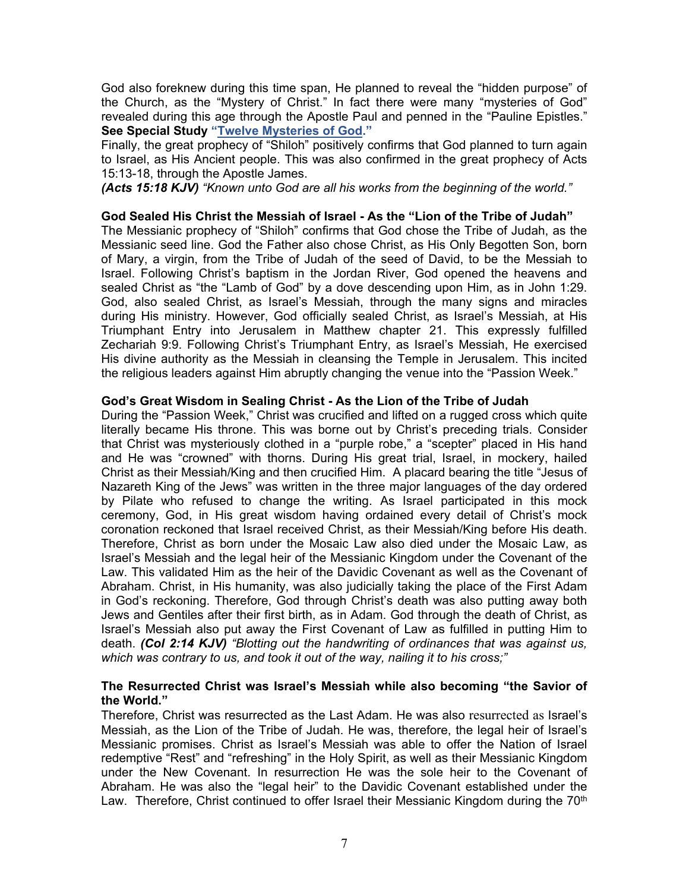God also foreknew during this time span, He planned to reveal the "hidden purpose" of the Church, as the "Mystery of Christ." In fact there were many "mysteries of God" revealed during this age through the Apostle Paul and penned in the "Pauline Epistles." **See Special Study ["Twelve Mysteries of God."](https://graceassemblysandiego.info/wp-content/uploads/TwelveMysteriesofGod.pdf)**

Finally, the great prophecy of "Shiloh" positively confirms that God planned to turn again to Israel, as His Ancient people. This was also confirmed in the great prophecy of Acts 15:13-18, through the Apostle James.

*(Acts 15:18 KJV) "Known unto God are all his works from the beginning of the world."*

## **God Sealed His Christ the Messiah of Israel - As the "Lion of the Tribe of Judah"**

The Messianic prophecy of "Shiloh" confirms that God chose the Tribe of Judah, as the Messianic seed line. God the Father also chose Christ, as His Only Begotten Son, born of Mary, a virgin, from the Tribe of Judah of the seed of David, to be the Messiah to Israel. Following Christ's baptism in the Jordan River, God opened the heavens and sealed Christ as "the "Lamb of God" by a dove descending upon Him, as in John 1:29. God, also sealed Christ, as Israel's Messiah, through the many signs and miracles during His ministry. However, God officially sealed Christ, as Israel's Messiah, at His Triumphant Entry into Jerusalem in Matthew chapter 21. This expressly fulfilled Zechariah 9:9. Following Christ's Triumphant Entry, as Israel's Messiah, He exercised His divine authority as the Messiah in cleansing the Temple in Jerusalem. This incited the religious leaders against Him abruptly changing the venue into the "Passion Week."

## **God's Great Wisdom in Sealing Christ - As the Lion of the Tribe of Judah**

During the "Passion Week," Christ was crucified and lifted on a rugged cross which quite literally became His throne. This was borne out by Christ's preceding trials. Consider that Christ was mysteriously clothed in a "purple robe," a "scepter" placed in His hand and He was "crowned" with thorns. During His great trial, Israel, in mockery, hailed Christ as their Messiah/King and then crucified Him. A placard bearing the title "Jesus of Nazareth King of the Jews" was written in the three major languages of the day ordered by Pilate who refused to change the writing. As Israel participated in this mock ceremony, God, in His great wisdom having ordained every detail of Christ's mock coronation reckoned that Israel received Christ, as their Messiah/King before His death. Therefore, Christ as born under the Mosaic Law also died under the Mosaic Law, as Israel's Messiah and the legal heir of the Messianic Kingdom under the Covenant of the Law. This validated Him as the heir of the Davidic Covenant as well as the Covenant of Abraham. Christ, in His humanity, was also judicially taking the place of the First Adam in God's reckoning. Therefore, God through Christ's death was also putting away both Jews and Gentiles after their first birth, as in Adam. God through the death of Christ, as Israel's Messiah also put away the First Covenant of Law as fulfilled in putting Him to death. *(Col 2:14 KJV) "Blotting out the handwriting of ordinances that was against us, which was contrary to us, and took it out of the way, nailing it to his cross;"*

## **The Resurrected Christ was Israel's Messiah while also becoming "the Savior of the World."**

Therefore, Christ was resurrected as the Last Adam. He was also resurrected as Israel's Messiah, as the Lion of the Tribe of Judah. He was, therefore, the legal heir of Israel's Messianic promises. Christ as Israel's Messiah was able to offer the Nation of Israel redemptive "Rest" and "refreshing" in the Holy Spirit, as well as their Messianic Kingdom under the New Covenant. In resurrection He was the sole heir to the Covenant of Abraham. He was also the "legal heir" to the Davidic Covenant established under the Law. Therefore, Christ continued to offer Israel their Messianic Kingdom during the  $70<sup>th</sup>$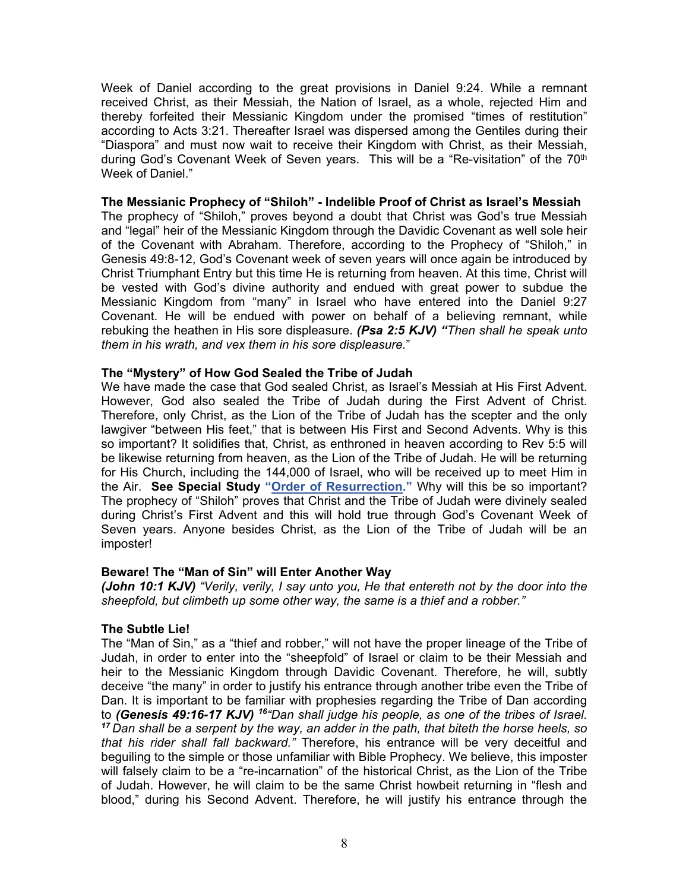Week of Daniel according to the great provisions in Daniel 9:24. While a remnant received Christ, as their Messiah, the Nation of Israel, as a whole, rejected Him and thereby forfeited their Messianic Kingdom under the promised "times of restitution" according to Acts 3:21. Thereafter Israel was dispersed among the Gentiles during their "Diaspora" and must now wait to receive their Kingdom with Christ, as their Messiah, during God's Covenant Week of Seven years. This will be a "Re-visitation" of the 70<sup>th</sup> Week of Daniel."

#### **The Messianic Prophecy of "Shiloh" - Indelible Proof of Christ as Israel's Messiah**

The prophecy of "Shiloh," proves beyond a doubt that Christ was God's true Messiah and "legal" heir of the Messianic Kingdom through the Davidic Covenant as well sole heir of the Covenant with Abraham. Therefore, according to the Prophecy of "Shiloh," in Genesis 49:8-12, God's Covenant week of seven years will once again be introduced by Christ Triumphant Entry but this time He is returning from heaven. At this time, Christ will be vested with God's divine authority and endued with great power to subdue the Messianic Kingdom from "many" in Israel who have entered into the Daniel 9:27 Covenant. He will be endued with power on behalf of a believing remnant, while rebuking the heathen in His sore displeasure. *(Psa 2:5 KJV) "Then shall he speak unto them in his wrath, and vex them in his sore displeasure.*"

#### **The "Mystery" of How God Sealed the Tribe of Judah**

We have made the case that God sealed Christ, as Israel's Messiah at His First Advent. However, God also sealed the Tribe of Judah during the First Advent of Christ. Therefore, only Christ, as the Lion of the Tribe of Judah has the scepter and the only lawgiver "between His feet," that is between His First and Second Advents. Why is this so important? It solidifies that, Christ, as enthroned in heaven according to Rev 5:5 will be likewise returning from heaven, as the Lion of the Tribe of Judah. He will be returning for His Church, including the 144,000 of Israel, who will be received up to meet Him in the Air. **See Special Study ["Order of Resurrection."](https://graceassemblysandiego.info/wp-content/uploads/OrderofResurrectionopt.pdf)** Why will this be so important? The prophecy of "Shiloh" proves that Christ and the Tribe of Judah were divinely sealed during Christ's First Advent and this will hold true through God's Covenant Week of Seven years. Anyone besides Christ, as the Lion of the Tribe of Judah will be an imposter!

#### **Beware! The "Man of Sin" will Enter Another Way**

*(John 10:1 KJV) "Verily, verily, I say unto you, He that entereth not by the door into the sheepfold, but climbeth up some other way, the same is a thief and a robber."*

#### **The Subtle Lie!**

The "Man of Sin," as a "thief and robber," will not have the proper lineage of the Tribe of Judah, in order to enter into the "sheepfold" of Israel or claim to be their Messiah and heir to the Messianic Kingdom through Davidic Covenant. Therefore, he will, subtly deceive "the many" in order to justify his entrance through another tribe even the Tribe of Dan. It is important to be familiar with prophesies regarding the Tribe of Dan according to *(Genesis 49:16-17 KJV) <sup>16</sup>"Dan shall judge his people, as one of the tribes of Israel. <sup>17</sup> Dan shall be a serpent by the way, an adder in the path, that biteth the horse heels, so that his rider shall fall backward."* Therefore, his entrance will be very deceitful and beguiling to the simple or those unfamiliar with Bible Prophecy. We believe, this imposter will falsely claim to be a "re-incarnation" of the historical Christ, as the Lion of the Tribe of Judah. However, he will claim to be the same Christ howbeit returning in "flesh and blood," during his Second Advent. Therefore, he will justify his entrance through the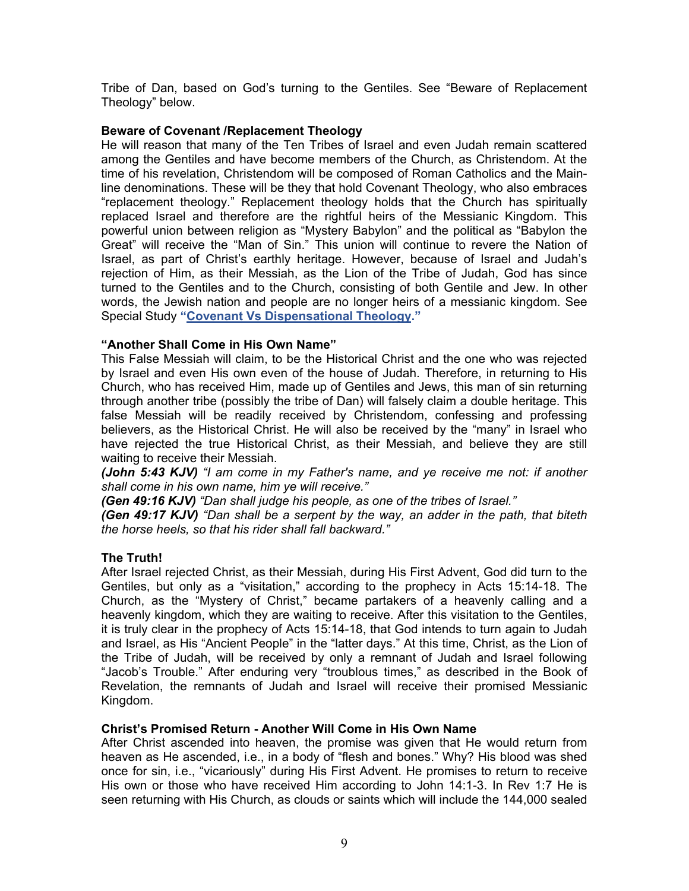Tribe of Dan, based on God's turning to the Gentiles. See "Beware of Replacement Theology" below.

## **Beware of Covenant /Replacement Theology**

He will reason that many of the Ten Tribes of Israel and even Judah remain scattered among the Gentiles and have become members of the Church, as Christendom. At the time of his revelation, Christendom will be composed of Roman Catholics and the Mainline denominations. These will be they that hold Covenant Theology, who also embraces "replacement theology." Replacement theology holds that the Church has spiritually replaced Israel and therefore are the rightful heirs of the Messianic Kingdom. This powerful union between religion as "Mystery Babylon" and the political as "Babylon the Great" will receive the "Man of Sin." This union will continue to revere the Nation of Israel, as part of Christ's earthly heritage. However, because of Israel and Judah's rejection of Him, as their Messiah, as the Lion of the Tribe of Judah, God has since turned to the Gentiles and to the Church, consisting of both Gentile and Jew. In other words, the Jewish nation and people are no longer heirs of a messianic kingdom. See Special Study **["Covenant Vs Dispensational Theology."](https://graceassemblysandiego.info/wp-content/uploads/OverviewofCovenantvsDispensationalTheology.pdf)**

## **"Another Shall Come in His Own Name"**

This False Messiah will claim, to be the Historical Christ and the one who was rejected by Israel and even His own even of the house of Judah. Therefore, in returning to His Church, who has received Him, made up of Gentiles and Jews, this man of sin returning through another tribe (possibly the tribe of Dan) will falsely claim a double heritage. This false Messiah will be readily received by Christendom, confessing and professing believers, as the Historical Christ. He will also be received by the "many" in Israel who have rejected the true Historical Christ, as their Messiah, and believe they are still waiting to receive their Messiah.

*(John 5:43 KJV) "I am come in my Father's name, and ye receive me not: if another shall come in his own name, him ye will receive."*

*(Gen 49:16 KJV) "Dan shall judge his people, as one of the tribes of Israel."*

*(Gen 49:17 KJV) "Dan shall be a serpent by the way, an adder in the path, that biteth the horse heels, so that his rider shall fall backward."*

# **The Truth!**

After Israel rejected Christ, as their Messiah, during His First Advent, God did turn to the Gentiles, but only as a "visitation," according to the prophecy in Acts 15:14-18. The Church, as the "Mystery of Christ," became partakers of a heavenly calling and a heavenly kingdom, which they are waiting to receive. After this visitation to the Gentiles, it is truly clear in the prophecy of Acts 15:14-18, that God intends to turn again to Judah and Israel, as His "Ancient People" in the "latter days." At this time, Christ, as the Lion of the Tribe of Judah, will be received by only a remnant of Judah and Israel following "Jacob's Trouble." After enduring very "troublous times," as described in the Book of Revelation, the remnants of Judah and Israel will receive their promised Messianic Kingdom.

# **Christ's Promised Return - Another Will Come in His Own Name**

After Christ ascended into heaven, the promise was given that He would return from heaven as He ascended, i.e., in a body of "flesh and bones." Why? His blood was shed once for sin, i.e., "vicariously" during His First Advent. He promises to return to receive His own or those who have received Him according to John 14:1-3. In Rev 1:7 He is seen returning with His Church, as clouds or saints which will include the 144,000 sealed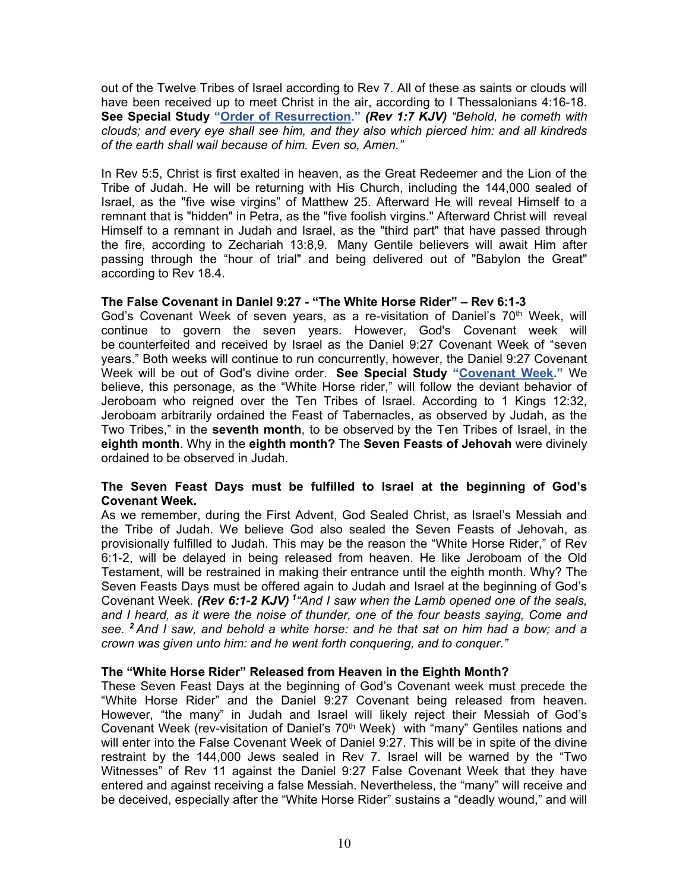out of the Twelve Tribes of Israel according to Rev 7. All of these as saints or clouds will have been received up to meet Christ in the air, according to I Thessalonians 4:16-18. **See Special Study ["Order of Resurrection."](https://graceassemblysandiego.info/wp-content/uploads/OrderofResurrectionopt.pdf)** *(Rev 1:7 KJV) "Behold, he cometh with clouds; and every eye shall see him, and they also which pierced him: and all kindreds of the earth shall wail because of him. Even so, Amen."* 

In Rev 5:5, Christ is first exalted in heaven, as the Great Redeemer and the Lion of the Tribe of Judah. He will be returning with His Church, including the 144,000 sealed of Israel, as the "five wise virgins" of Matthew 25. Afterward He will reveal Himself to a remnant that is "hidden" in Petra, as the "five foolish virgins." Afterward Christ will reveal Himself to a remnant in Judah and Israel, as the "third part" that have passed through the fire, according to Zechariah 13:8,9. Many Gentile believers will await Him after passing through the "hour of trial" and being delivered out of "Babylon the Great" according to Rev 18.4.

## **The False Covenant in Daniel 9:27 - "The White Horse Rider" – Rev 6:1-3**

God's Covenant Week of seven years, as a re-visitation of Daniel's  $70<sup>th</sup>$  Week, will continue to govern the seven years. However, God's Covenant week will be counterfeited and received by Israel as the Daniel 9:27 Covenant Week of "seven years." Both weeks will continue to run concurrently, however, the Daniel 9:27 Covenant Week will be out of God's divine order. **See Special Study ["Covenant Week."](https://graceassemblysandiego.info/wp-content/uploads/CovenantWeekopt.pdf)** We believe, this personage, as the "White Horse rider," will follow the deviant behavior of Jeroboam who reigned over the Ten Tribes of Israel. According to 1 Kings 12:32, Jeroboam arbitrarily ordained the Feast of Tabernacles, as observed by Judah, as the Two Tribes," in the **seventh month**, to be observed by the Ten Tribes of Israel, in the **eighth month**. Why in the **eighth month?** The **Seven Feasts of Jehovah** were divinely ordained to be observed in Judah.

## **The Seven Feast Days must be fulfilled to Israel at the beginning of God's Covenant Week.**

As we remember, during the First Advent, God Sealed Christ, as Israel's Messiah and the Tribe of Judah. We believe God also sealed the Seven Feasts of Jehovah, as provisionally fulfilled to Judah. This may be the reason the "White Horse Rider," of Rev 6:1-2, will be delayed in being released from heaven. He like Jeroboam of the Old Testament, will be restrained in making their entrance until the eighth month. Why? The Seven Feasts Days must be offered again to Judah and Israel at the beginning of God's Covenant Week. *(Rev 6:1-2 KJV) 1"And I saw when the Lamb opened one of the seals, and I heard, as it were the noise of thunder, one of the four beasts saying, Come and see. <sup>2</sup>And I saw, and behold a white horse: and he that sat on him had a bow; and a crown was given unto him: and he went forth conquering, and to conquer."* 

# **The "White Horse Rider" Released from Heaven in the Eighth Month?**

These Seven Feast Days at the beginning of God's Covenant week must precede the "White Horse Rider" and the Daniel 9:27 Covenant being released from heaven. However, "the many" in Judah and Israel will likely reject their Messiah of God's Covenant Week (rev-visitation of Daniel's 70<sup>th</sup> Week) with "many" Gentiles nations and will enter into the False Covenant Week of Daniel 9:27. This will be in spite of the divine restraint by the 144,000 Jews sealed in Rev 7. Israel will be warned by the "Two Witnesses" of Rev 11 against the Daniel 9:27 False Covenant Week that they have entered and against receiving a false Messiah. Nevertheless, the "many" will receive and be deceived, especially after the "White Horse Rider" sustains a "deadly wound," and will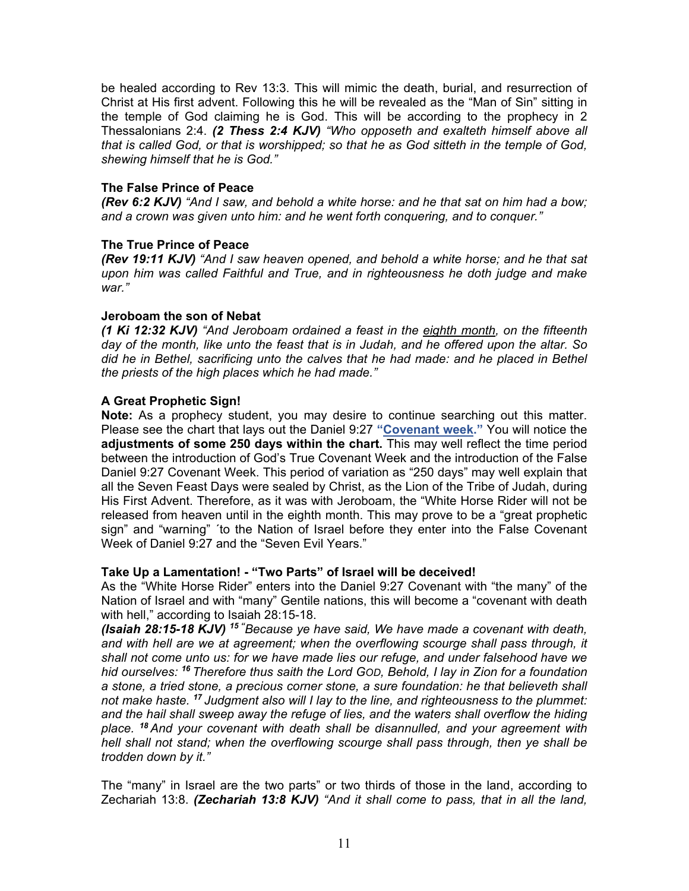be healed according to Rev 13:3. This will mimic the death, burial, and resurrection of Christ at His first advent. Following this he will be revealed as the "Man of Sin" sitting in the temple of God claiming he is God. This will be according to the prophecy in 2 Thessalonians 2:4. *(2 Thess 2:4 KJV) "Who opposeth and exalteth himself above all that is called God, or that is worshipped; so that he as God sitteth in the temple of God, shewing himself that he is God."*

## **The False Prince of Peace**

*(Rev 6:2 KJV) "And I saw, and behold a white horse: and he that sat on him had a bow; and a crown was given unto him: and he went forth conquering, and to conquer."*

## **The True Prince of Peace**

*(Rev 19:11 KJV) "And I saw heaven opened, and behold a white horse; and he that sat upon him was called Faithful and True, and in righteousness he doth judge and make war."*

### **Jeroboam the son of Nebat**

*(1 Ki 12:32 KJV) "And Jeroboam ordained a feast in the eighth month, on the fifteenth day of the month, like unto the feast that is in Judah, and he offered upon the altar. So did he in Bethel, sacrificing unto the calves that he had made: and he placed in Bethel the priests of the high places which he had made."*

## **A Great Prophetic Sign!**

**Note:** As a prophecy student, you may desire to continue searching out this matter. Please see the chart that lays out the Daniel 9:27 **["Covenant week."](https://graceassemblysandiego.info/wp-content/uploads/CovenantWeekopt.pdf)** You will notice the **adjustments of some 250 days within the chart.** This may well reflect the time period between the introduction of God's True Covenant Week and the introduction of the False Daniel 9:27 Covenant Week. This period of variation as "250 days" may well explain that all the Seven Feast Days were sealed by Christ, as the Lion of the Tribe of Judah, during His First Advent. Therefore, as it was with Jeroboam, the "White Horse Rider will not be released from heaven until in the eighth month. This may prove to be a "great prophetic sign" and "warning" ´to the Nation of Israel before they enter into the False Covenant Week of Daniel 9:27 and the "Seven Evil Years."

#### **Take Up a Lamentation! - "Two Parts" of Israel will be deceived!**

As the "White Horse Rider" enters into the Daniel 9:27 Covenant with "the many" of the Nation of Israel and with "many" Gentile nations, this will become a "covenant with death with hell," according to Isaiah 28:15-18.

*(Isaiah 28:15-18 KJV) <sup>15</sup> " Because ye have said, We have made a covenant with death, and with hell are we at agreement; when the overflowing scourge shall pass through, it shall not come unto us: for we have made lies our refuge, and under falsehood have we hid ourselves: <sup>16</sup> Therefore thus saith the Lord GOD, Behold, I lay in Zion for a foundation a stone, a tried stone, a precious corner stone, a sure foundation: he that believeth shall not make haste. <sup>17</sup> Judgment also will I lay to the line, and righteousness to the plummet: and the hail shall sweep away the refuge of lies, and the waters shall overflow the hiding place. <sup>18</sup> And your covenant with death shall be disannulled, and your agreement with hell shall not stand; when the overflowing scourge shall pass through, then ye shall be trodden down by it."*

The "many" in Israel are the two parts" or two thirds of those in the land, according to Zechariah 13:8. *(Zechariah 13:8 KJV) "And it shall come to pass, that in all the land,*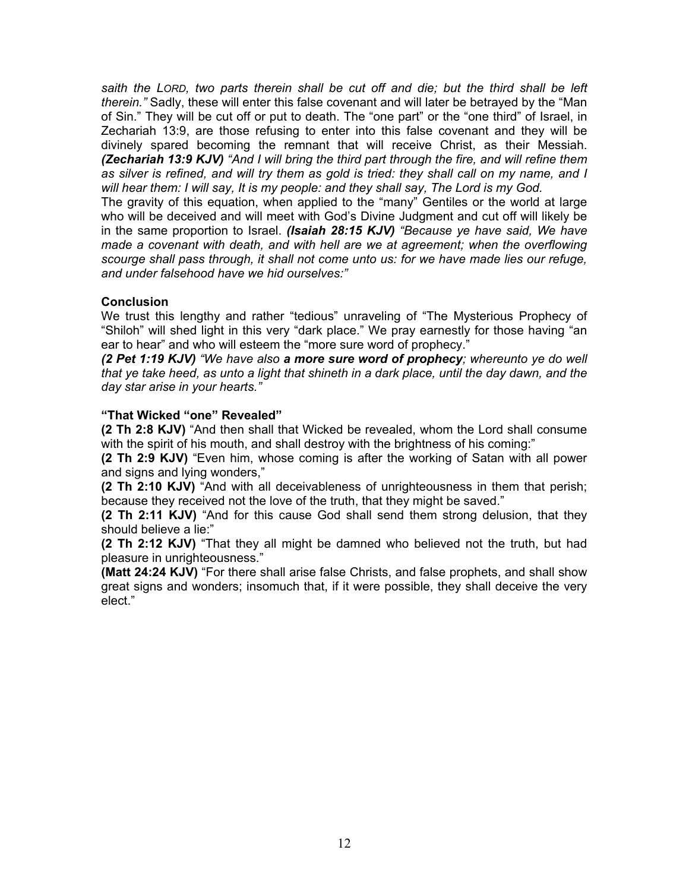*saith the LORD, two parts therein shall be cut off and die; but the third shall be left therein."* Sadly, these will enter this false covenant and will later be betrayed by the "Man of Sin." They will be cut off or put to death. The "one part" or the "one third" of Israel, in Zechariah 13:9, are those refusing to enter into this false covenant and they will be divinely spared becoming the remnant that will receive Christ, as their Messiah. *(Zechariah 13:9 KJV) "And I will bring the third part through the fire, and will refine them as silver is refined, and will try them as gold is tried: they shall call on my name, and I will hear them: I will say, It is my people: and they shall say, The Lord is my God.*

The gravity of this equation, when applied to the "many" Gentiles or the world at large who will be deceived and will meet with God's Divine Judgment and cut off will likely be in the same proportion to Israel. *(Isaiah 28:15 KJV) "Because ye have said, We have made a covenant with death, and with hell are we at agreement; when the overflowing scourge shall pass through, it shall not come unto us: for we have made lies our refuge, and under falsehood have we hid ourselves:"*

# **Conclusion**

We trust this lengthy and rather "tedious" unraveling of "The Mysterious Prophecy of "Shiloh" will shed light in this very "dark place." We pray earnestly for those having "an ear to hear" and who will esteem the "more sure word of prophecy."

*(2 Pet 1:19 KJV) "We have also a more sure word of prophecy; whereunto ye do well that ye take heed, as unto a light that shineth in a dark place, until the day dawn, and the day star arise in your hearts."*

## **"That Wicked "one" Revealed"**

**(2 Th 2:8 KJV)** "And then shall that Wicked be revealed, whom the Lord shall consume with the spirit of his mouth, and shall destroy with the brightness of his coming:"

**(2 Th 2:9 KJV)** "Even him, whose coming is after the working of Satan with all power and signs and lying wonders,"

**(2 Th 2:10 KJV)** "And with all deceivableness of unrighteousness in them that perish; because they received not the love of the truth, that they might be saved."

**(2 Th 2:11 KJV)** "And for this cause God shall send them strong delusion, that they should believe a lie:"

**(2 Th 2:12 KJV)** "That they all might be damned who believed not the truth, but had pleasure in unrighteousness."

**(Matt 24:24 KJV)** "For there shall arise false Christs, and false prophets, and shall show great signs and wonders; insomuch that, if it were possible, they shall deceive the very elect."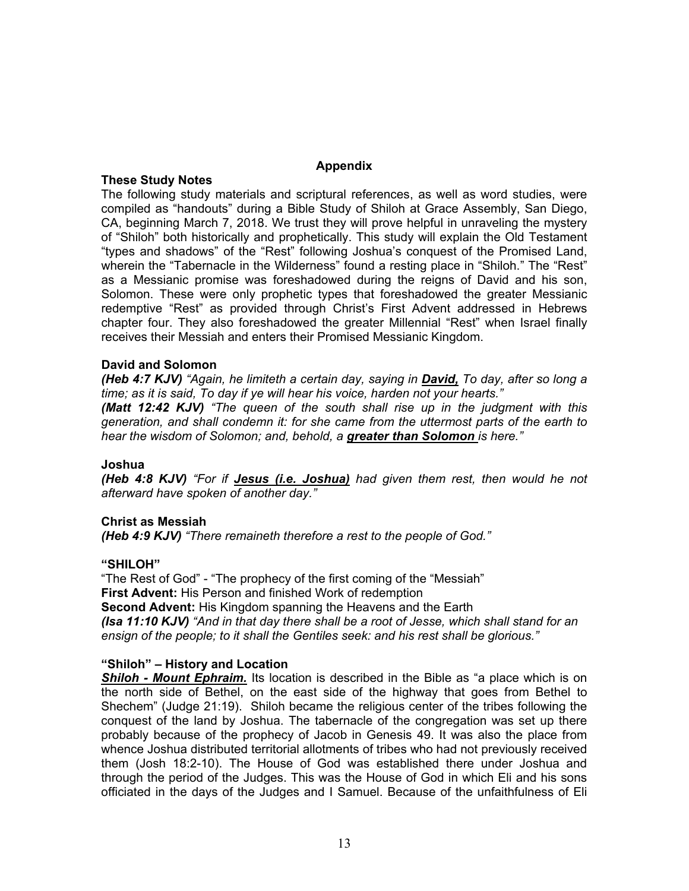### **Appendix**

### **These Study Notes**

The following study materials and scriptural references, as well as word studies, were compiled as "handouts" during a Bible Study of Shiloh at Grace Assembly, San Diego, CA, beginning March 7, 2018. We trust they will prove helpful in unraveling the mystery of "Shiloh" both historically and prophetically. This study will explain the Old Testament "types and shadows" of the "Rest" following Joshua's conquest of the Promised Land, wherein the "Tabernacle in the Wilderness" found a resting place in "Shiloh." The "Rest" as a Messianic promise was foreshadowed during the reigns of David and his son, Solomon. These were only prophetic types that foreshadowed the greater Messianic redemptive "Rest" as provided through Christ's First Advent addressed in Hebrews chapter four. They also foreshadowed the greater Millennial "Rest" when Israel finally receives their Messiah and enters their Promised Messianic Kingdom.

# **David and Solomon**

*(Heb 4:7 KJV) "Again, he limiteth a certain day, saying in David, To day, after so long a time; as it is said, To day if ye will hear his voice, harden not your hearts."*

*(Matt 12:42 KJV) "The queen of the south shall rise up in the judgment with this generation, and shall condemn it: for she came from the uttermost parts of the earth to hear the wisdom of Solomon; and, behold, a greater than Solomon is here."*

# **Joshua**

*(Heb 4:8 KJV) "For if Jesus (i.e. Joshua) had given them rest, then would he not afterward have spoken of another day."*

# **Christ as Messiah**

*(Heb 4:9 KJV) "There remaineth therefore a rest to the people of God."*

# **"SHILOH"**

"The Rest of God" - "The prophecy of the first coming of the "Messiah" **First Advent:** His Person and finished Work of redemption **Second Advent:** His Kingdom spanning the Heavens and the Earth *(Isa 11:10 KJV) "And in that day there shall be a root of Jesse, which shall stand for an ensign of the people; to it shall the Gentiles seek: and his rest shall be glorious."*

# **"Shiloh" – History and Location**

*Shiloh - Mount Ephraim.* Its location is described in the Bible as "a place which is on the north side of Bethel, on the east side of the highway that goes from Bethel to Shechem" (Judge 21:19). Shiloh became the religious center of the tribes following the conquest of the land by Joshua. The tabernacle of the congregation was set up there probably because of the prophecy of Jacob in Genesis 49. It was also the place from whence Joshua distributed territorial allotments of tribes who had not previously received them (Josh 18:2-10). The House of God was established there under Joshua and through the period of the Judges. This was the House of God in which Eli and his sons officiated in the days of the Judges and I Samuel. Because of the unfaithfulness of Eli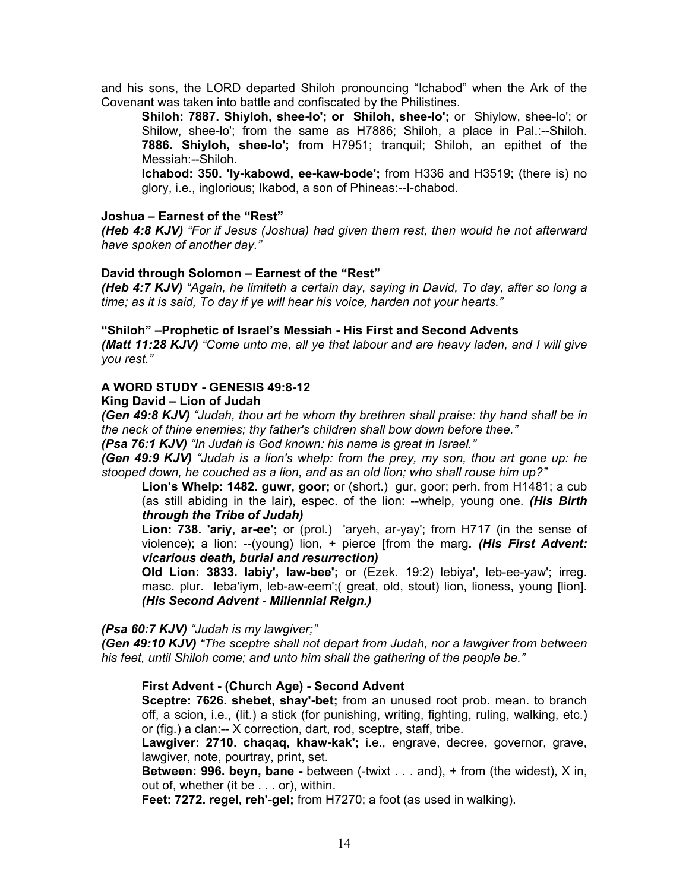and his sons, the LORD departed Shiloh pronouncing "Ichabod" when the Ark of the Covenant was taken into battle and confiscated by the Philistines.

**Shiloh: 7887. Shiyloh, shee-lo'; or Shiloh, shee-lo';** or Shiylow, shee-lo'; or Shilow, shee-lo'; from the same as H7886; Shiloh, a place in Pal.:--Shiloh. **7886. Shiyloh, shee-lo';** from H7951; tranquil; Shiloh, an epithet of the Messiah:--Shiloh.

**Ichabod: 350. 'Iy-kabowd, ee-kaw-bode';** from H336 and H3519; (there is) no glory, i.e., inglorious; Ikabod, a son of Phineas:--I-chabod.

#### **Joshua – Earnest of the "Rest"**

*(Heb 4:8 KJV) "For if Jesus (Joshua) had given them rest, then would he not afterward have spoken of another day."*

#### **David through Solomon – Earnest of the "Rest"**

*(Heb 4:7 KJV) "Again, he limiteth a certain day, saying in David, To day, after so long a time; as it is said, To day if ye will hear his voice, harden not your hearts."*

#### **"Shiloh" –Prophetic of Israel's Messiah - His First and Second Advents**

*(Matt 11:28 KJV) "Come unto me, all ye that labour and are heavy laden, and I will give you rest."*

#### **A WORD STUDY - GENESIS 49:8-12**

### **King David – Lion of Judah**

*(Gen 49:8 KJV) "Judah, thou art he whom thy brethren shall praise: thy hand shall be in the neck of thine enemies; thy father's children shall bow down before thee."*

*(Psa 76:1 KJV) "In Judah is God known: his name is great in Israel."*

*(Gen 49:9 KJV) "Judah is a lion's whelp: from the prey, my son, thou art gone up: he stooped down, he couched as a lion, and as an old lion; who shall rouse him up?"*

**Lion's Whelp: 1482. guwr, goor;** or (short.) gur, goor; perh. from H1481; a cub (as still abiding in the lair), espec. of the lion: --whelp, young one. *(His Birth through the Tribe of Judah)*

**Lion: 738. 'ariy, ar-ee';** or (prol.) 'aryeh, ar-yay'; from H717 (in the sense of violence); a lion: --(young) lion, + pierce [from the marg*. (His First Advent: vicarious death, burial and resurrection)*

**Old Lion: 3833. labiy', law-bee';** or (Ezek. 19:2) lebiya', leb-ee-yaw'; irreg. masc. plur. leba'iym, leb-aw-eem';( great, old, stout) lion, lioness, young [lion]. *(His Second Advent - Millennial Reign.)*

*(Psa 60:7 KJV) "Judah is my lawgiver;"*

*(Gen 49:10 KJV) "The sceptre shall not depart from Judah, nor a lawgiver from between his feet, until Shiloh come; and unto him shall the gathering of the people be."*

#### **First Advent - (Church Age) - Second Advent**

**Sceptre: 7626. shebet, shay'-bet;** from an unused root prob. mean. to branch off, a scion, i.e., (lit.) a stick (for punishing, writing, fighting, ruling, walking, etc.) or (fig.) a clan:-- X correction, dart, rod, sceptre, staff, tribe.

**Lawgiver: 2710. chaqaq, khaw-kak';** i.e., engrave, decree, governor, grave, lawgiver, note, pourtray, print, set.

**Between: 996. beyn, bane -** between (-twixt . . . and), + from (the widest), X in, out of, whether (it be . . . or), within.

**Feet: 7272. regel, reh'-gel;** from H7270; a foot (as used in walking).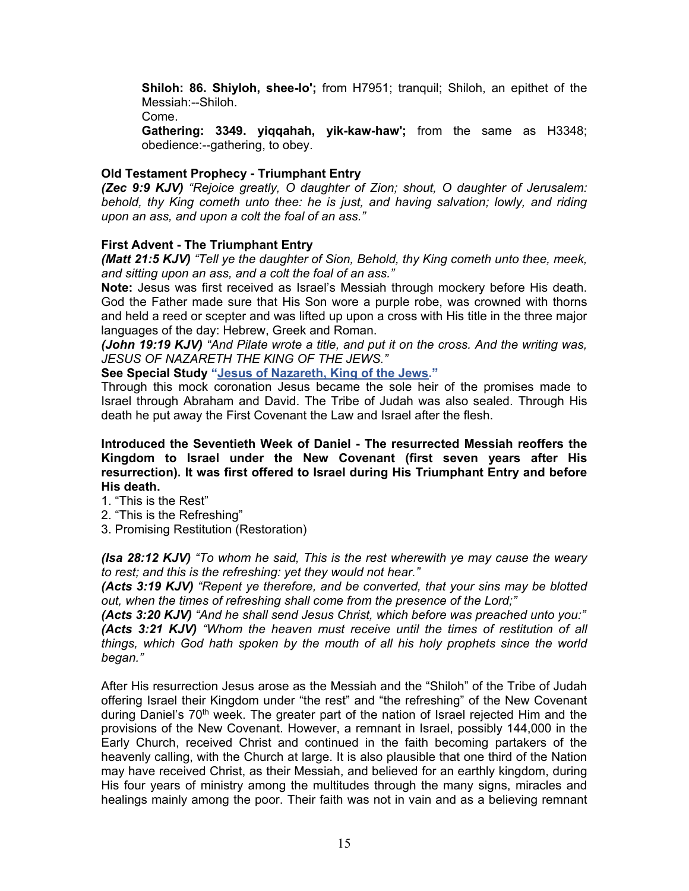**Shiloh: 86. Shiyloh, shee-lo';** from H7951; tranquil; Shiloh, an epithet of the Messiah:--Shiloh.

Come.

**Gathering: 3349. yiqqahah, yik-kaw-haw';** from the same as H3348; obedience:--gathering, to obey.

# **Old Testament Prophecy - Triumphant Entry**

*(Zec 9:9 KJV) "Rejoice greatly, O daughter of Zion; shout, O daughter of Jerusalem: behold, thy King cometh unto thee: he is just, and having salvation; lowly, and riding upon an ass, and upon a colt the foal of an ass."*

# **First Advent - The Triumphant Entry**

*(Matt 21:5 KJV) "Tell ye the daughter of Sion, Behold, thy King cometh unto thee, meek, and sitting upon an ass, and a colt the foal of an ass."*

**Note:** Jesus was first received as Israel's Messiah through mockery before His death. God the Father made sure that His Son wore a purple robe, was crowned with thorns and held a reed or scepter and was lifted up upon a cross with His title in the three major languages of the day: Hebrew, Greek and Roman.

*(John 19:19 KJV) "And Pilate wrote a title, and put it on the cross. And the writing was, JESUS OF NAZARETH THE KING OF THE JEWS."*

# **See Special Study ["Jesus of Nazareth, King of the Jews."](https://graceassemblysandiego.info/wp-content/uploads/JesusofNazarethKingoftheJews.pdf)**

Through this mock coronation Jesus became the sole heir of the promises made to Israel through Abraham and David. The Tribe of Judah was also sealed. Through His death he put away the First Covenant the Law and Israel after the flesh.

**Introduced the Seventieth Week of Daniel - The resurrected Messiah reoffers the Kingdom to Israel under the New Covenant (first seven years after His resurrection). It was first offered to Israel during His Triumphant Entry and before His death.** 

- 1. "This is the Rest"
- 2. "This is the Refreshing"
- 3. Promising Restitution (Restoration)

*(Isa 28:12 KJV) "To whom he said, This is the rest wherewith ye may cause the weary to rest; and this is the refreshing: yet they would not hear."*

*(Acts 3:19 KJV) "Repent ye therefore, and be converted, that your sins may be blotted out, when the times of refreshing shall come from the presence of the Lord;"*

*(Acts 3:20 KJV) "And he shall send Jesus Christ, which before was preached unto you:" (Acts 3:21 KJV) "Whom the heaven must receive until the times of restitution of all things, which God hath spoken by the mouth of all his holy prophets since the world began."*

After His resurrection Jesus arose as the Messiah and the "Shiloh" of the Tribe of Judah offering Israel their Kingdom under "the rest" and "the refreshing" of the New Covenant during Daniel's  $70<sup>th</sup>$  week. The greater part of the nation of Israel rejected Him and the provisions of the New Covenant. However, a remnant in Israel, possibly 144,000 in the Early Church, received Christ and continued in the faith becoming partakers of the heavenly calling, with the Church at large. It is also plausible that one third of the Nation may have received Christ, as their Messiah, and believed for an earthly kingdom, during His four years of ministry among the multitudes through the many signs, miracles and healings mainly among the poor. Their faith was not in vain and as a believing remnant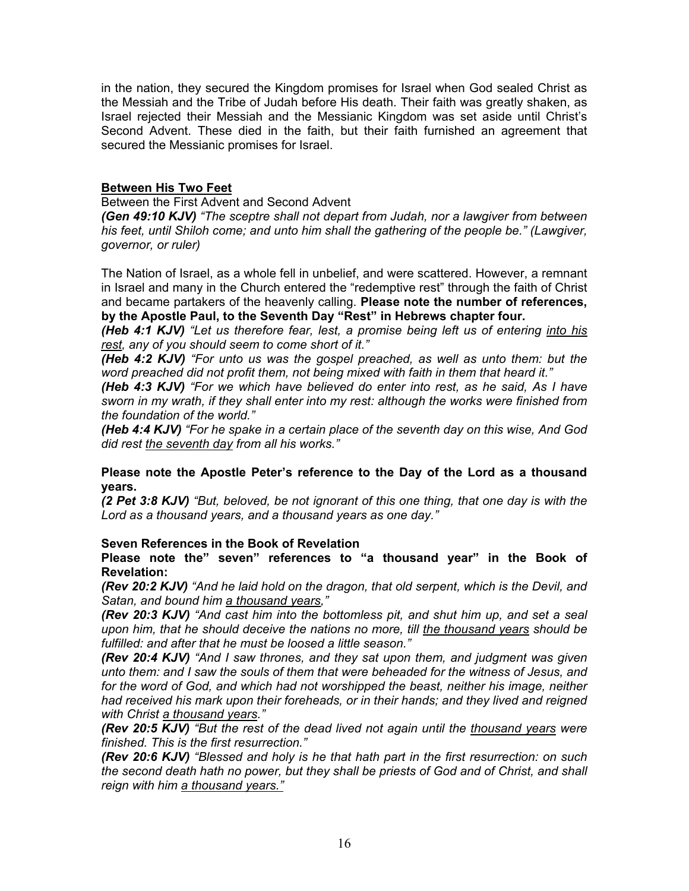in the nation, they secured the Kingdom promises for Israel when God sealed Christ as the Messiah and the Tribe of Judah before His death. Their faith was greatly shaken, as Israel rejected their Messiah and the Messianic Kingdom was set aside until Christ's Second Advent. These died in the faith, but their faith furnished an agreement that secured the Messianic promises for Israel.

# **Between His Two Feet**

Between the First Advent and Second Advent

*(Gen 49:10 KJV) "The sceptre shall not depart from Judah, nor a lawgiver from between his feet, until Shiloh come; and unto him shall the gathering of the people be." (Lawgiver, governor, or ruler)*

The Nation of Israel, as a whole fell in unbelief, and were scattered. However, a remnant in Israel and many in the Church entered the "redemptive rest" through the faith of Christ and became partakers of the heavenly calling. **Please note the number of references, by the Apostle Paul, to the Seventh Day "Rest" in Hebrews chapter four.**

*(Heb 4:1 KJV) "Let us therefore fear, lest, a promise being left us of entering into his rest, any of you should seem to come short of it."*

*(Heb 4:2 KJV) "For unto us was the gospel preached, as well as unto them: but the word preached did not profit them, not being mixed with faith in them that heard it."*

*(Heb 4:3 KJV) "For we which have believed do enter into rest, as he said, As I have sworn in my wrath, if they shall enter into my rest: although the works were finished from the foundation of the world."*

*(Heb 4:4 KJV) "For he spake in a certain place of the seventh day on this wise, And God did rest the seventh day from all his works."*

## **Please note the Apostle Peter's reference to the Day of the Lord as a thousand years.**

*(2 Pet 3:8 KJV) "But, beloved, be not ignorant of this one thing, that one day is with the Lord as a thousand years, and a thousand years as one day."*

# **Seven References in the Book of Revelation**

**Please note the" seven" references to "a thousand year" in the Book of Revelation:**

*(Rev 20:2 KJV) "And he laid hold on the dragon, that old serpent, which is the Devil, and Satan, and bound him a thousand years,"*

*(Rev 20:3 KJV) "And cast him into the bottomless pit, and shut him up, and set a seal upon him, that he should deceive the nations no more, till the thousand years should be fulfilled: and after that he must be loosed a little season."*

*(Rev 20:4 KJV) "And I saw thrones, and they sat upon them, and judgment was given unto them: and I saw the souls of them that were beheaded for the witness of Jesus, and*  for the word of God, and which had not worshipped the beast, neither his image, neither *had received his mark upon their foreheads, or in their hands; and they lived and reigned with Christ a thousand years."*

*(Rev 20:5 KJV) "But the rest of the dead lived not again until the thousand years were finished. This is the first resurrection."*

*(Rev 20:6 KJV) "Blessed and holy is he that hath part in the first resurrection: on such the second death hath no power, but they shall be priests of God and of Christ, and shall reign with him a thousand years."*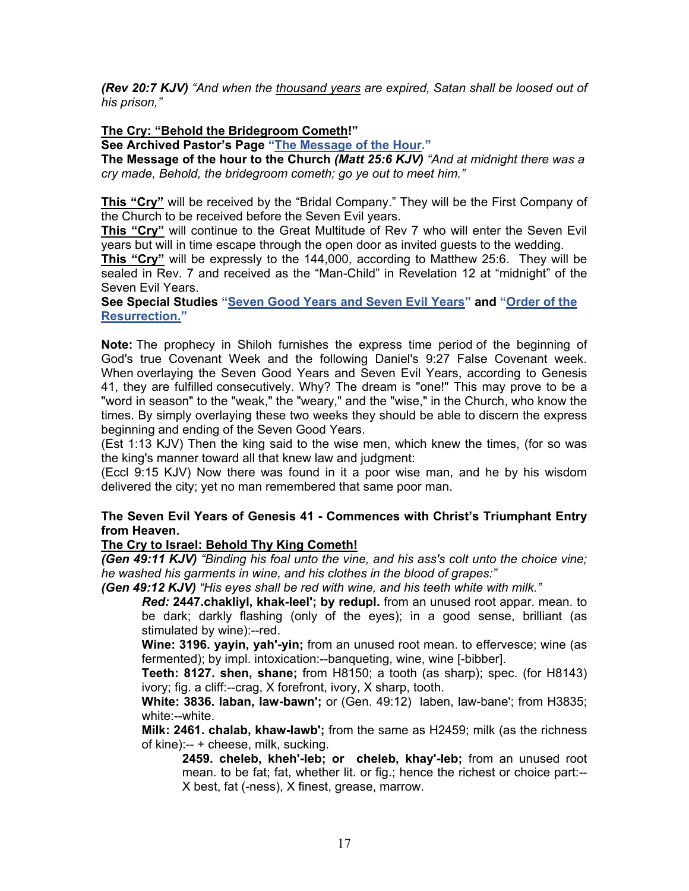*(Rev 20:7 KJV) "And when the thousand years are expired, Satan shall be loosed out of his prison,"* 

## **The Cry: "Behold the Bridegroom Cometh!"**

**See Archived Pastor's Page ["The Message of the Hour."](https://graceassemblysandiego.info/message-of-the-hour/)**

**The Message of the hour to the Church** *(Matt 25:6 KJV) "And at midnight there was a cry made, Behold, the bridegroom cometh; go ye out to meet him."*

**This "Cry"** will be received by the "Bridal Company." They will be the First Company of the Church to be received before the Seven Evil years.

**This "Cry"** will continue to the Great Multitude of Rev 7 who will enter the Seven Evil years but will in time escape through the open door as invited guests to the wedding.

**This "Cry"** will be expressly to the 144,000, according to Matthew 25:6. They will be sealed in Rev. 7 and received as the "Man-Child" in Revelation 12 at "midnight" of the Seven Evil Years.

**See Special Studies ["Seven Good Years and Seven Evil Years"](https://graceassemblysandiego.info/wp-content/uploads/SevenGoodYearsandSevenEvilYears.pdf) and ["Order of the](https://graceassemblysandiego.info/wp-content/uploads/OrderofResurrectionopt.pdf)  [Resurrection."](https://graceassemblysandiego.info/wp-content/uploads/OrderofResurrectionopt.pdf)** 

**Note:** The prophecy in Shiloh furnishes the express time period of the beginning of God's true Covenant Week and the following Daniel's 9:27 False Covenant week. When overlaying the Seven Good Years and Seven Evil Years, according to Genesis 41, they are fulfilled consecutively. Why? The dream is "one!" This may prove to be a "word in season" to the "weak," the "weary," and the "wise," in the Church, who know the times. By simply overlaying these two weeks they should be able to discern the express beginning and ending of the Seven Good Years.

(Est 1:13 KJV) Then the king said to the wise men, which knew the times, (for so was the king's manner toward all that knew law and judgment:

(Eccl 9:15 KJV) Now there was found in it a poor wise man, and he by his wisdom delivered the city; yet no man remembered that same poor man.

## **The Seven Evil Years of Genesis 41 - Commences with Christ's Triumphant Entry from Heaven.**

#### **The Cry to Israel: Behold Thy King Cometh!**

*(Gen 49:11 KJV) "Binding his foal unto the vine, and his ass's colt unto the choice vine; he washed his garments in wine, and his clothes in the blood of grapes:"* 

*(Gen 49:12 KJV) "His eyes shall be red with wine, and his teeth white with milk."*

*Red:* **2447.chakliyl, khak-leel'; by redupl.** from an unused root appar. mean. to be dark; darkly flashing (only of the eyes); in a good sense, brilliant (as stimulated by wine):--red.

**Wine: 3196. yayin, yah'-yin;** from an unused root mean. to effervesce; wine (as fermented); by impl. intoxication:--banqueting, wine, wine [-bibber].

**Teeth: 8127. shen, shane;** from H8150; a tooth (as sharp); spec. (for H8143) ivory; fig. a cliff:--crag, X forefront, ivory, X sharp, tooth.

**White: 3836. laban, law-bawn';** or (Gen. 49:12) laben, law-bane'; from H3835; white:--white.

**Milk: 2461. chalab, khaw-lawb';** from the same as H2459; milk (as the richness of kine):-- + cheese, milk, sucking.

**2459. cheleb, kheh'-leb; or cheleb, khay'-leb;** from an unused root mean. to be fat; fat, whether lit. or fig.; hence the richest or choice part:-- X best, fat (-ness), X finest, grease, marrow.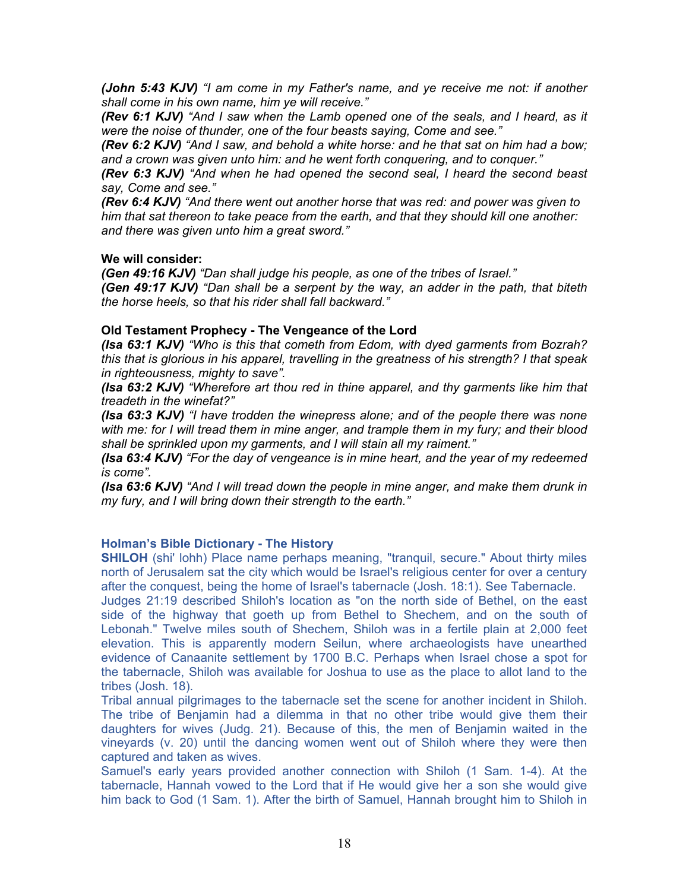*(John 5:43 KJV) "I am come in my Father's name, and ye receive me not: if another shall come in his own name, him ye will receive."*

*(Rev 6:1 KJV) "And I saw when the Lamb opened one of the seals, and I heard, as it were the noise of thunder, one of the four beasts saying, Come and see."*

*(Rev 6:2 KJV) "And I saw, and behold a white horse: and he that sat on him had a bow; and a crown was given unto him: and he went forth conquering, and to conquer."*

*(Rev 6:3 KJV) "And when he had opened the second seal, I heard the second beast say, Come and see."*

*(Rev 6:4 KJV) "And there went out another horse that was red: and power was given to him that sat thereon to take peace from the earth, and that they should kill one another: and there was given unto him a great sword."*

#### **We will consider:**

*(Gen 49:16 KJV) "Dan shall judge his people, as one of the tribes of Israel."*

*(Gen 49:17 KJV) "Dan shall be a serpent by the way, an adder in the path, that biteth the horse heels, so that his rider shall fall backward."*

## **Old Testament Prophecy - The Vengeance of the Lord**

*(Isa 63:1 KJV) "Who is this that cometh from Edom, with dyed garments from Bozrah? this that is glorious in his apparel, travelling in the greatness of his strength? I that speak in righteousness, mighty to save".*

*(Isa 63:2 KJV) "Wherefore art thou red in thine apparel, and thy garments like him that treadeth in the winefat?"*

*(Isa 63:3 KJV) "I have trodden the winepress alone; and of the people there was none with me: for I will tread them in mine anger, and trample them in my fury; and their blood shall be sprinkled upon my garments, and I will stain all my raiment."*

*(Isa 63:4 KJV) "For the day of vengeance is in mine heart, and the year of my redeemed is come".*

*(Isa 63:6 KJV) "And I will tread down the people in mine anger, and make them drunk in my fury, and I will bring down their strength to the earth."*

#### **Holman's Bible Dictionary - The History**

**SHILOH** (shi' lohh) Place name perhaps meaning, "tranquil, secure." About thirty miles north of Jerusalem sat the city which would be Israel's religious center for over a century after the conquest, being the home of Israel's tabernacle (Josh. 18:1). See Tabernacle.

Judges 21:19 described Shiloh's location as "on the north side of Bethel, on the east side of the highway that goeth up from Bethel to Shechem, and on the south of Lebonah." Twelve miles south of Shechem, Shiloh was in a fertile plain at 2,000 feet elevation. This is apparently modern Seilun, where archaeologists have unearthed evidence of Canaanite settlement by 1700 B.C. Perhaps when Israel chose a spot for the tabernacle, Shiloh was available for Joshua to use as the place to allot land to the tribes (Josh. 18).

Tribal annual pilgrimages to the tabernacle set the scene for another incident in Shiloh. The tribe of Benjamin had a dilemma in that no other tribe would give them their daughters for wives (Judg. 21). Because of this, the men of Benjamin waited in the vineyards (v. 20) until the dancing women went out of Shiloh where they were then captured and taken as wives.

Samuel's early years provided another connection with Shiloh (1 Sam. 1-4). At the tabernacle, Hannah vowed to the Lord that if He would give her a son she would give him back to God (1 Sam. 1). After the birth of Samuel, Hannah brought him to Shiloh in